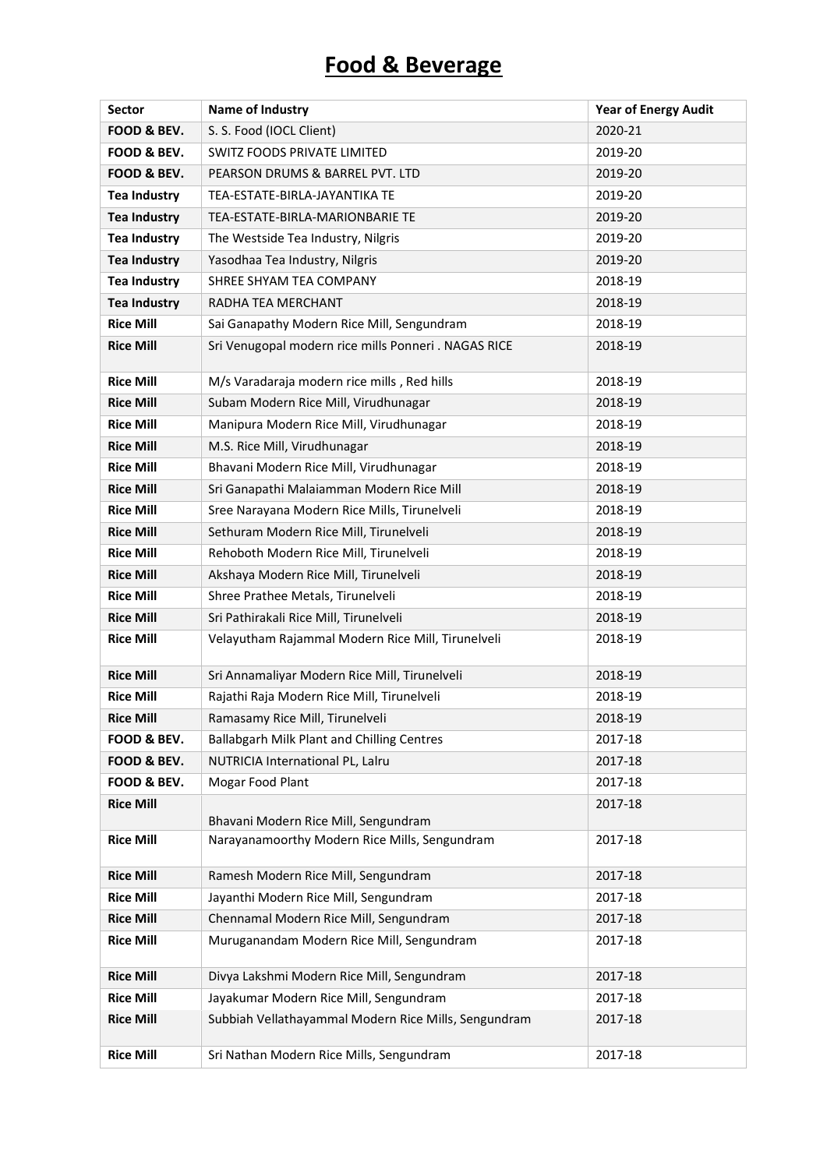## **Food & Beverage**

| <b>Sector</b>       | Name of Industry                                     | <b>Year of Energy Audit</b> |
|---------------------|------------------------------------------------------|-----------------------------|
| FOOD & BEV.         | S. S. Food (IOCL Client)                             | 2020-21                     |
| FOOD & BEV.         | SWITZ FOODS PRIVATE LIMITED                          | 2019-20                     |
| FOOD & BEV.         | PEARSON DRUMS & BARREL PVT. LTD                      | 2019-20                     |
| <b>Tea Industry</b> | TEA-ESTATE-BIRLA-JAYANTIKA TE                        | 2019-20                     |
| <b>Tea Industry</b> | TEA-ESTATE-BIRLA-MARIONBARIE TE                      | 2019-20                     |
| <b>Tea Industry</b> | The Westside Tea Industry, Nilgris                   | 2019-20                     |
| <b>Tea Industry</b> | Yasodhaa Tea Industry, Nilgris                       | 2019-20                     |
| <b>Tea Industry</b> | SHREE SHYAM TEA COMPANY                              | 2018-19                     |
| <b>Tea Industry</b> | RADHA TEA MERCHANT                                   | 2018-19                     |
| <b>Rice Mill</b>    | Sai Ganapathy Modern Rice Mill, Sengundram           | 2018-19                     |
| <b>Rice Mill</b>    | Sri Venugopal modern rice mills Ponneri. NAGAS RICE  | 2018-19                     |
| <b>Rice Mill</b>    | M/s Varadaraja modern rice mills, Red hills          | 2018-19                     |
| <b>Rice Mill</b>    | Subam Modern Rice Mill, Virudhunagar                 | 2018-19                     |
| <b>Rice Mill</b>    | Manipura Modern Rice Mill, Virudhunagar              | 2018-19                     |
| <b>Rice Mill</b>    | M.S. Rice Mill, Virudhunagar                         | 2018-19                     |
| <b>Rice Mill</b>    | Bhavani Modern Rice Mill, Virudhunagar               | 2018-19                     |
| <b>Rice Mill</b>    | Sri Ganapathi Malaiamman Modern Rice Mill            | 2018-19                     |
| <b>Rice Mill</b>    | Sree Narayana Modern Rice Mills, Tirunelveli         | 2018-19                     |
| <b>Rice Mill</b>    | Sethuram Modern Rice Mill, Tirunelveli               | 2018-19                     |
| <b>Rice Mill</b>    | Rehoboth Modern Rice Mill, Tirunelveli               | 2018-19                     |
| <b>Rice Mill</b>    | Akshaya Modern Rice Mill, Tirunelveli                | 2018-19                     |
| <b>Rice Mill</b>    | Shree Prathee Metals, Tirunelveli                    | 2018-19                     |
| <b>Rice Mill</b>    | Sri Pathirakali Rice Mill, Tirunelveli               | 2018-19                     |
| <b>Rice Mill</b>    | Velayutham Rajammal Modern Rice Mill, Tirunelveli    | 2018-19                     |
| <b>Rice Mill</b>    | Sri Annamaliyar Modern Rice Mill, Tirunelveli        | 2018-19                     |
| <b>Rice Mill</b>    | Rajathi Raja Modern Rice Mill, Tirunelveli           | 2018-19                     |
| <b>Rice Mill</b>    | Ramasamy Rice Mill, Tirunelveli                      | 2018-19                     |
| FOOD & BEV.         | Ballabgarh Milk Plant and Chilling Centres           | 2017-18                     |
| FOOD & BEV.         | NUTRICIA International PL, Lalru                     | 2017-18                     |
| FOOD & BEV.         | Mogar Food Plant                                     | 2017-18                     |
| <b>Rice Mill</b>    | Bhavani Modern Rice Mill, Sengundram                 | 2017-18                     |
| <b>Rice Mill</b>    | Narayanamoorthy Modern Rice Mills, Sengundram        | 2017-18                     |
| <b>Rice Mill</b>    | Ramesh Modern Rice Mill, Sengundram                  | 2017-18                     |
| <b>Rice Mill</b>    | Jayanthi Modern Rice Mill, Sengundram                | 2017-18                     |
| <b>Rice Mill</b>    | Chennamal Modern Rice Mill, Sengundram               | 2017-18                     |
| <b>Rice Mill</b>    | Muruganandam Modern Rice Mill, Sengundram            | 2017-18                     |
| <b>Rice Mill</b>    | Divya Lakshmi Modern Rice Mill, Sengundram           | 2017-18                     |
| <b>Rice Mill</b>    | Jayakumar Modern Rice Mill, Sengundram               | 2017-18                     |
| <b>Rice Mill</b>    | Subbiah Vellathayammal Modern Rice Mills, Sengundram | 2017-18                     |
| <b>Rice Mill</b>    | Sri Nathan Modern Rice Mills, Sengundram             | 2017-18                     |